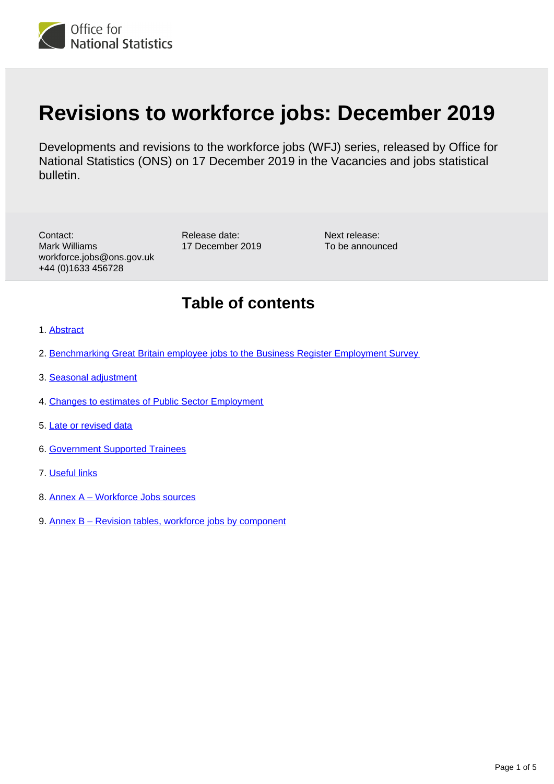

# **Revisions to workforce jobs: December 2019**

Developments and revisions to the workforce jobs (WFJ) series, released by Office for National Statistics (ONS) on 17 December 2019 in the Vacancies and jobs statistical bulletin.

Contact: Mark Williams workforce.jobs@ons.gov.uk +44 (0)1633 456728

Release date: 17 December 2019

Next release: To be announced

#### **Table of contents**

- 1. [Abstract](#page-1-0)
- 2. [Benchmarking Great Britain employee jobs to the Business Register Employment Survey](#page-2-0)
- 3. [Seasonal adjustment](#page-3-0)
- 4. [Changes to estimates of Public Sector Employment](#page-3-1)
- 5. [Late or revised data](#page-3-2)
- 6. [Government Supported Trainees](#page-3-3)
- 7. [Useful links](#page-3-4)
- 8. [Annex A Workforce Jobs sources](#page-4-0)
- 9. [Annex B Revision tables, workforce jobs by component](#page-4-1)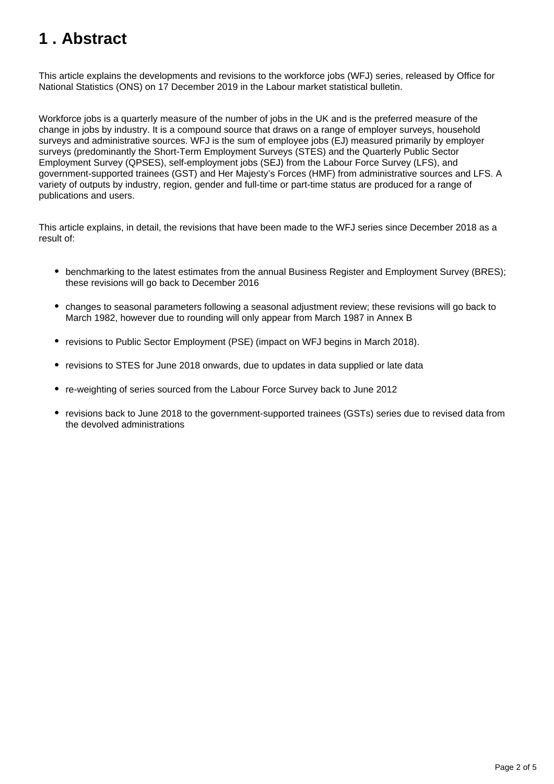## <span id="page-1-0"></span>**1 . Abstract**

This article explains the developments and revisions to the workforce jobs (WFJ) series, released by Office for National Statistics (ONS) on 17 December 2019 in the Labour market statistical bulletin.

Workforce jobs is a quarterly measure of the number of jobs in the UK and is the preferred measure of the change in jobs by industry. It is a compound source that draws on a range of employer surveys, household surveys and administrative sources. WFJ is the sum of employee jobs (EJ) measured primarily by employer surveys (predominantly the Short-Term Employment Surveys (STES) and the Quarterly Public Sector Employment Survey (QPSES), self-employment jobs (SEJ) from the Labour Force Survey (LFS), and government-supported trainees (GST) and Her Majesty's Forces (HMF) from administrative sources and LFS. A variety of outputs by industry, region, gender and full-time or part-time status are produced for a range of publications and users.

This article explains, in detail, the revisions that have been made to the WFJ series since December 2018 as a result of:

- benchmarking to the latest estimates from the annual Business Register and Employment Survey (BRES); these revisions will go back to December 2016
- changes to seasonal parameters following a seasonal adjustment review; these revisions will go back to March 1982, however due to rounding will only appear from March 1987 in Annex B
- revisions to Public Sector Employment (PSE) (impact on WFJ begins in March 2018).
- revisions to STES for June 2018 onwards, due to updates in data supplied or late data
- re-weighting of series sourced from the Labour Force Survey back to June 2012
- revisions back to June 2018 to the government-supported trainees (GSTs) series due to revised data from the devolved administrations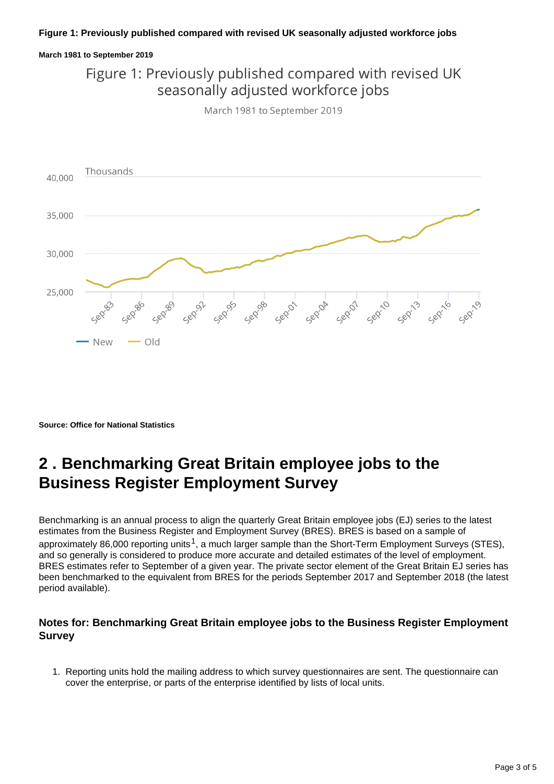#### **Figure 1: Previously published compared with revised UK seasonally adjusted workforce jobs**

#### **March 1981 to September 2019**

Figure 1: Previously published compared with revised UK seasonally adjusted workforce jobs

March 1981 to September 2019



**Source: Office for National Statistics**

#### <span id="page-2-0"></span>**2 . Benchmarking Great Britain employee jobs to the Business Register Employment Survey**

Benchmarking is an annual process to align the quarterly Great Britain employee jobs (EJ) series to the latest estimates from the Business Register and Employment Survey (BRES). BRES is based on a sample of approximately 86,000 reporting units<sup>1</sup>, a much larger sample than the Short-Term Employment Surveys (STES), and so generally is considered to produce more accurate and detailed estimates of the level of employment. BRES estimates refer to September of a given year. The private sector element of the Great Britain EJ series has been benchmarked to the equivalent from BRES for the periods September 2017 and September 2018 (the latest period available).

#### **Notes for: Benchmarking Great Britain employee jobs to the Business Register Employment Survey**

1. Reporting units hold the mailing address to which survey questionnaires are sent. The questionnaire can cover the enterprise, or parts of the enterprise identified by lists of local units.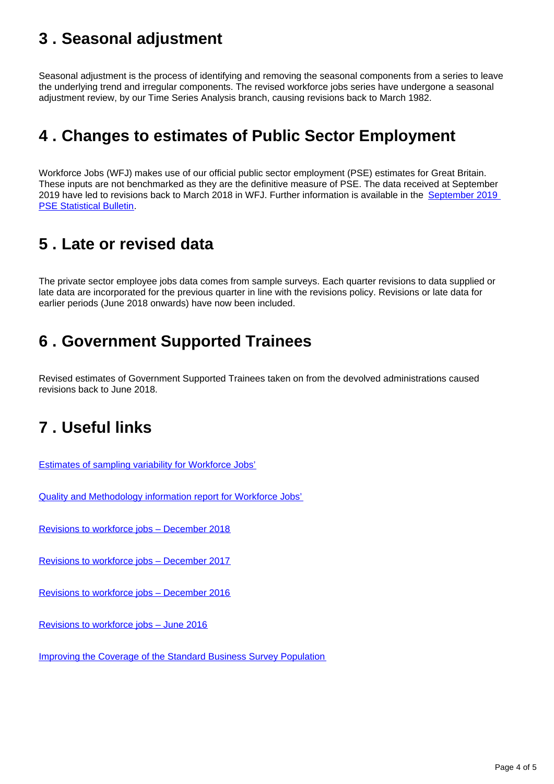### <span id="page-3-0"></span>**3 . Seasonal adjustment**

Seasonal adjustment is the process of identifying and removing the seasonal components from a series to leave the underlying trend and irregular components. The revised workforce jobs series have undergone a seasonal adjustment review, by our Time Series Analysis branch, causing revisions back to March 1982.

#### <span id="page-3-1"></span>**4 . Changes to estimates of Public Sector Employment**

Workforce Jobs (WFJ) makes use of our official public sector employment (PSE) estimates for Great Britain. These inputs are not benchmarked as they are the definitive measure of PSE. The data received at September 2019 have led to revisions back to March 2018 in WFJ. Further information is available in the September 2019 **[PSE Statistical Bulletin](https://www.ons.gov.uk/employmentandlabourmarket/peopleinwork/publicsectorpersonnel/bulletins/publicsectoremployment/latest).** 

### <span id="page-3-2"></span>**5 . Late or revised data**

The private sector employee jobs data comes from sample surveys. Each quarter revisions to data supplied or late data are incorporated for the previous quarter in line with the revisions policy. Revisions or late data for earlier periods (June 2018 onwards) have now been included.

#### <span id="page-3-3"></span>**6 . Government Supported Trainees**

Revised estimates of Government Supported Trainees taken on from the devolved administrations caused revisions back to June 2018.

#### <span id="page-3-4"></span>**7 . Useful links**

[Estimates of sampling variability for Workforce Jobs'](https://www.ons.gov.uk/employmentandlabourmarket/peopleinwork/employmentandemployeetypes/datasets/workforcejobssamplingvariabilityjobs07)

[Quality and Methodology information report for Workforce Jobs'](https://www.ons.gov.uk/employmentandlabourmarket/peopleinwork/employmentandemployeetypes/qmis/workforcejobsqmi)

[Revisions to workforce jobs – December 2018](https://www.ons.gov.uk/employmentandlabourmarket/peopleinwork/employmentandemployeetypes/methodologies/revisionstoworkforcejobsdecember2018)

[Revisions to workforce jobs – December 2017](https://www.ons.gov.uk/employmentandlabourmarket/peopleinwork/employmentandemployeetypes/methodologies/revisionstoworkforcejobsdecember2017)

[Revisions to workforce jobs – December 2016](https://www.ons.gov.uk/employmentandlabourmarket/peopleinwork/employmentandemployeetypes/methodologies/revisionstoworkforcejobsdec2016)

[Revisions to workforce jobs – June 2016](https://www.ons.gov.uk/employmentandlabourmarket/peopleinwork/employmentandemployeetypes/methodologies/revisionstoworkforcejobsdec2016)

[Improving the Coverage of the Standard Business Survey Population](https://webarchive.nationalarchives.gov.uk/20160106202859/http:/www.ons.gov.uk/ons/guide-method/method-quality/specific/business-and-energy/business-population/index.html)